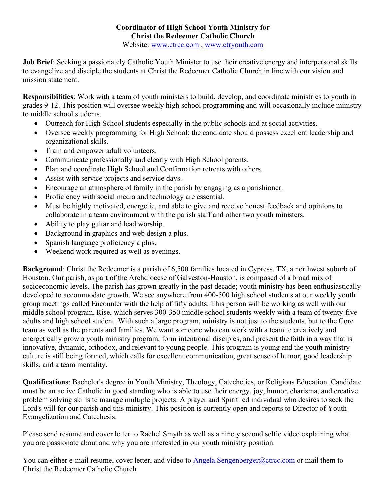## **Coordinator of High School Youth Ministry for Christ the Redeemer Catholic Church**

Website: [www.ctrcc.com](http://www.ctrcc.com/), [www.ctryouth.com](http://www.ctrcc.com/)

**Job Brief**: Seeking a passionately Catholic Youth Minister to use their creative energy and interpersonal skills to evangelize and disciple the students at Christ the Redeemer Catholic Church in line with our vision and mission statement.

**Responsibilities**: Work with a team of youth ministers to build, develop, and coordinate ministries to youth in grades 9-12. This position will oversee weekly high school programming and will occasionally include ministry to middle school students.

- Outreach for High School students especially in the public schools and at social activities.
- Oversee weekly programming for High School; the candidate should possess excellent leadership and organizational skills.
- Train and empower adult volunteers.
- Communicate professionally and clearly with High School parents.
- Plan and coordinate High School and Confirmation retreats with others.
- Assist with service projects and service days.
- Encourage an atmosphere of family in the parish by engaging as a parishioner.
- Proficiency with social media and technology are essential.
- Must be highly motivated, energetic, and able to give and receive honest feedback and opinions to collaborate in a team environment with the parish staff and other two youth ministers.
- Ability to play guitar and lead worship.
- Background in graphics and web design a plus.
- Spanish language proficiency a plus.
- Weekend work required as well as evenings.

**Background**: Christ the Redeemer is a parish of 6,500 families located in Cypress, TX, a northwest suburb of Houston. Our parish, as part of the Archdiocese of Galveston-Houston, is composed of a broad mix of socioeconomic levels. The parish has grown greatly in the past decade; youth ministry has been enthusiastically developed to accommodate growth. We see anywhere from 400-500 high school students at our weekly youth group meetings called Encounter with the help of fifty adults. This person will be working as well with our middle school program, Rise, which serves 300-350 middle school students weekly with a team of twenty-five adults and high school student. With such a large program, ministry is not just to the students, but to the Core team as well as the parents and families. We want someone who can work with a team to creatively and energetically grow a youth ministry program, form intentional disciples, and present the faith in a way that is innovative, dynamic, orthodox, and relevant to young people. This program is young and the youth ministry culture is still being formed, which calls for excellent communication, great sense of humor, good leadership skills, and a team mentality.

**Qualifications**: Bachelor's degree in Youth Ministry, Theology, Catechetics, or Religious Education. Candidate must be an active Catholic in good standing who is able to use their energy, joy, humor, charisma, and creative problem solving skills to manage multiple projects. A prayer and Spirit led individual who desires to seek the Lord's will for our parish and this ministry. This position is currently open and reports to Director of Youth Evangelization and Catechesis.

Please send resume and cover letter to Rachel Smyth as well as a ninety second selfie video explaining what you are passionate about and why you are interested in our youth ministry position.

You can either e-mail resume, cover letter, and video to [Angela.Sengenberger@ctrcc.com](mailto:Angela.Sengenberger@ctrcc.com) or mail them to Christ the Redeemer Catholic Church